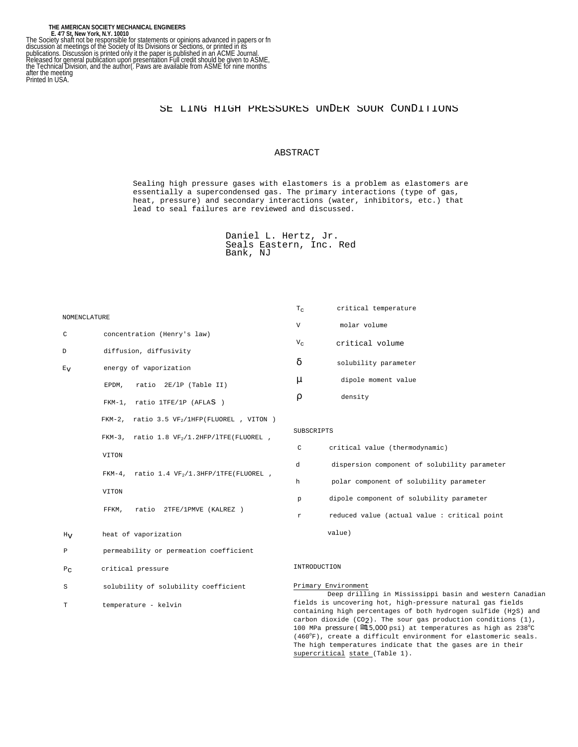# SE LING HIGH PRESSURES UNDER SOUR CONDITIONS

# ABSTRACT

Sealing high pressure gases with elastomers is a problem as elastomers are essentially a supercondensed gas. The primary interactions (type of gas, heat, pressure) and secondary interactions (water, inhibitors, etc.) that lead to seal failures are reviewed and discussed.

```
Daniel L. Hertz, Jr.
Seals Eastern, Inc. Red
Bank, NJ
```

|              |                                                                                               | $T_{\rm C}$                                                                                                                                                                                          | critical temperature                                                           |  |  |
|--------------|-----------------------------------------------------------------------------------------------|------------------------------------------------------------------------------------------------------------------------------------------------------------------------------------------------------|--------------------------------------------------------------------------------|--|--|
| NOMENCLATURE |                                                                                               | V                                                                                                                                                                                                    | molar volume                                                                   |  |  |
| C            | concentration (Henry's law)                                                                   | $V_C$                                                                                                                                                                                                | critical volume                                                                |  |  |
| D            | diffusion, diffusivity                                                                        |                                                                                                                                                                                                      |                                                                                |  |  |
| $E_{\rm V}$  | energy of vaporization                                                                        | δ                                                                                                                                                                                                    | solubility parameter                                                           |  |  |
|              | EPDM,<br>ratio 2E/1P (Table II)                                                               | μ                                                                                                                                                                                                    | dipole moment value                                                            |  |  |
|              | FKM-1, ratio $1TFE/1P$ (AFLAS <sup>®</sup> )                                                  | ρ                                                                                                                                                                                                    | density                                                                        |  |  |
|              | FKM-2, ratio 3.5 $VF_2/1HFP(FLUOREL^{\circledR})$ , VITON <sup><math>\circledR</math></sup> ) |                                                                                                                                                                                                      |                                                                                |  |  |
|              | FKM-3, ratio $1.8 \text{VF}_2/1.2 \text{HFP}/\text{LTE}$ (FLUOREL),                           | SUBSCRIPTS                                                                                                                                                                                           |                                                                                |  |  |
|              | $_{\rm VITON}$ $^{\circledR}$                                                                 | C                                                                                                                                                                                                    | critical value (thermodynamic)                                                 |  |  |
|              | FKM-4, ratio 1.4 $VF_2/1.3HFP/1TFE(FLUORELo)$ ,                                               | d                                                                                                                                                                                                    | dispersion component of solubility parameter                                   |  |  |
|              | $_{\rm VITON}$ $^{\circledR}$                                                                 | h                                                                                                                                                                                                    | polar component of solubility parameter                                        |  |  |
|              |                                                                                               | p                                                                                                                                                                                                    | dipole component of solubility parameter                                       |  |  |
|              | ratio 2TFE/1PMVE (KALREZ <sup>®</sup> )<br>FFKM,                                              | r                                                                                                                                                                                                    | reduced value (actual value: critical point                                    |  |  |
| $H_V$        | heat of vaporization                                                                          |                                                                                                                                                                                                      | value)                                                                         |  |  |
| Ρ            | permeability or permeation coefficient                                                        |                                                                                                                                                                                                      |                                                                                |  |  |
| $P_{C}$      | critical pressure                                                                             | INTRODUCTION                                                                                                                                                                                         |                                                                                |  |  |
| S            | solubility of solubility coefficient                                                          |                                                                                                                                                                                                      | Primary Environment<br>Deep drilling in Mississippi basin and western Canadian |  |  |
| Т            | temperature - kelvin                                                                          | fields is uncovering hot, high-pressure natural gas fields<br>containing high percentages of both hydrogen sulfide (H2S) and<br>carbon dioxide $(CO_2)$ . The sour gas production conditions $(1)$ , |                                                                                |  |  |
|              |                                                                                               |                                                                                                                                                                                                      |                                                                                |  |  |

fields is uncovering hot, high-pressure natural gas fields  $(H_2S)$  and<br>pns  $(1)$  , carbon dioxide (CO2). The sour gas production conditions (1),<br>100 MPa <mark>pressure(≅15,000</mark> psi) at temperatures as high as 238°C (460°F), create a difficult environment for elastomeric seals. The high temperatures indicate that the gases are in their supercritical state (Table 1).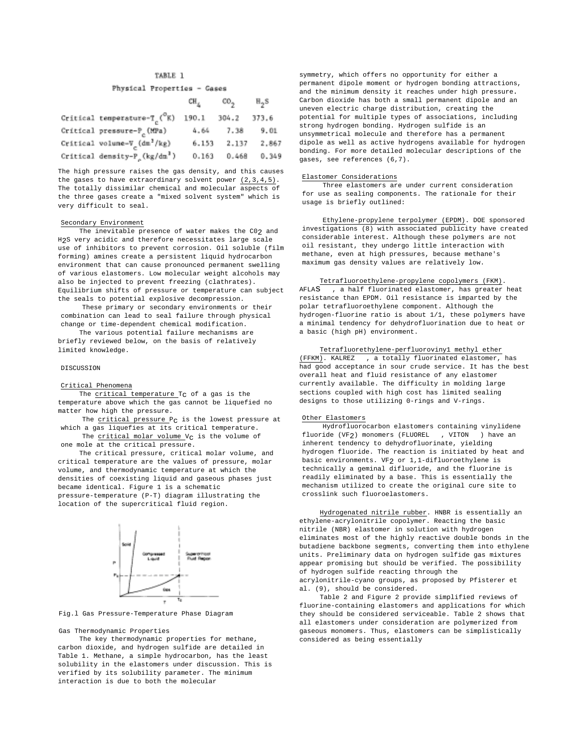# TABLE 1

## Physical Properties - Gases

and a

m a

|                                                           | տո <sub>ւ</sub> տ <sub>այ</sub> |       | جواتا |
|-----------------------------------------------------------|---------------------------------|-------|-------|
| Critical temperature-T <sub>c</sub> ( $^{\circ}$ K) 190.1 |                                 | 304.2 | 373.6 |
| Critical pressure-P <sub>c</sub> (MPa)                    | 4.64                            | 7.38  | 9.01  |
| Critical volume- $V_g$ (dm <sup>3</sup> /kg)              | 6.153                           | 2.137 | 2.867 |
| Critical density-P <sub>c</sub> (kg/dm <sup>3</sup> )     | 0.163                           | 0.468 | 0.349 |

The high pressure raises the gas density, and this causes the gases to have extraordinary solvent power  $(2,3,4,5)$ . The totally dissimilar chemical and molecular aspects of the three gases create a "mixed solvent system" which is very difficult to seal.

#### Secondary Environment

The inevitable presence of water makes the C02 and H2S very acidic and therefore necessitates large scale use of inhibitors to prevent corrosion. Oil soluble (film forming) amines create a persistent liquid hydrocarbon environment that can cause pronounced permanent swelling of various elastomers. Low molecular weight alcohols may also be injected to prevent freezing (clathrates). Equilibrium shifts of pressure or temperature can subject the seals to potential explosive decompression.

These primary or secondary environments or their combination can lead to seal failure through physical change or time-dependent chemical modification.

The various potential failure mechanisms are briefly reviewed below, on the basis of relatively limited knowledge.

## DISCUSSION

# Critical Phenomena

The critical temperature  $T_C$  of a gas is the temperature above which the gas cannot be liquefied no matter how high the pressure.

The  $critical$  pressure  $P_C$  is the lowest pressure at which a gas liquefies at its critical temperature.

The  $critical$  molar volume  $V_C$  is the volume of one mole at the critical pressure.

The critical pressure, critical molar volume, and critical temperature are the values of pressure, molar volume, and thermodynamic temperature at which the densities of coexisting liquid and gaseous phases just became identical. Figure 1 is a schematic pressure-temperature (P-T) diagram illustrating the location of the supercritical fluid region.



Fig.l Gas Pressure-Temperature Phase Diagram

### Gas Thermodynamic Properties

The key thermodynamic properties for methane, carbon dioxide, and hydrogen sulfide are detailed in Table 1. Methane, a simple hydrocarbon, has the least solubility in the elastomers under discussion. This is verified by its solubility parameter. The minimum interaction is due to both the molecular

symmetry, which offers no opportunity for either a permanent dipole moment or hydrogen bonding attractions, and the minimum density it reaches under high pressure**.** Carbon dioxide has both a small permanent dipole and an uneven electric charge distribution, creating the potential for multiple types of associations, including strong hydrogen bonding. Hydrogen sulfide is an unsymmetrical molecule and therefore has a permanent dipole as well as active hydrogens available for hydrogen bonding. For more detailed molecular descriptions of the gases, see references (6,7).

## Elastomer Considerations

Three elastomers are under current consideration for use as sealing components. The rationale for their usage is briefly outlined:

Ethylene-propylene terpolymer (EPDM). DOE sponsored investigations (8) with associated publicity have created considerable interest. Although these polymers are not oil resistant, they undergo little interaction with methane, even at high pressures, because methane's maximum gas density values are relatively low.

## Tetrafluoroethylene-propylene copolymers (FKM).

 $AFLAS$  , a half fluorinated elastomer, has greater heat resistance than EPDM. Oil resistance is imparted by the polar tetrafluoroethylene component. Although the hydrogen-fluorine ratio is about 1/1, these polymers have a minimal tendency for dehydrofluorination due to heat or a basic (high pH) environment.

## Tetrafluorethylene-perfluoroviny1 methyl ether  $(FFKM)$ . KALREZ $\overline{R}$  , a totally fluorinated elastomer, has

had good acceptance in sour crude service. It has the best overall heat and fluid resistance of any elastomer currently available. The difficulty in molding large sections coupled with high cost has limited sealing designs to those utilizing 0-rings and V-rings.

## Other Elastomers

Hydrofluorocarbon elastomers containing vinylidene fluoride (VF2) monomers (FLUOREL RD, VITON RD) have an inherent tendency to dehydrofluorinate, yielding hydrogen fluoride. The reaction is initiated by heat and basic environments. VF2 or 1,1-difluoroethylene is technically a geminal difluoride, and the fluorine is readily eliminated by a base. This is essentially the mechanism utilized to create the original cure site to crosslink such fluoroelastomers.

Hydrogenated nitrile rubber. HNBR is essentially an ethylene-acrylonitrile copolymer. Reacting the basic nitrile (NBR) elastomer in solution with hydrogen eliminates most of the highly reactive double bonds in the butadiene backbone segments, converting them into ethylene units. Preliminary data on hydrogen sulfide gas mixtures appear promising but should be verified. The possibility of hydrogen sulfide reacting through the acrylonitrile-cyano groups, as proposed by Pfisterer et al. (9), should be considered.

Table 2 and Figure 2 provide simplified reviews of fluorine-containing elastomers and applications for which they should be considered serviceable. Table 2 shows that all elastomers under consideration are polymerized from gaseous monomers. Thus, elastomers can be simplistically considered as being essentially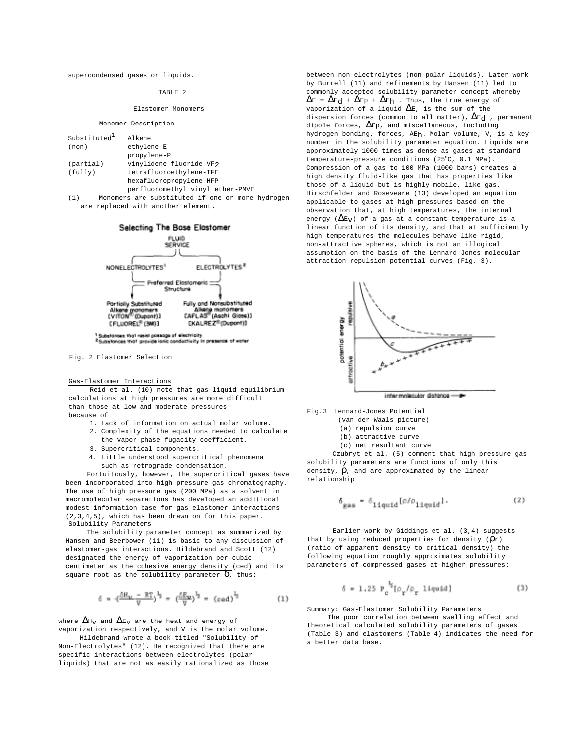supercondensed gases or liquids.

## TABLE 2

#### Elastomer Monomers

### Monomer Description

| Substituted | Alkene                                           |  |  |
|-------------|--------------------------------------------------|--|--|
| (non)       | ethylene-E                                       |  |  |
|             | propylene-P                                      |  |  |
|             |                                                  |  |  |
| (partial)   | vinylidene fluoride-VF2                          |  |  |
| (fully)     | tetrafluoroethylene-TFE                          |  |  |
|             | hexafluoropropylene-HFP                          |  |  |
|             | perfluoromethyl vinyl ether-PMVE                 |  |  |
| (1)         | Monomers are substituted if one or more hydrogen |  |  |
|             | axe xerlased with another alement                |  |  |

are replaced with another element.



Fig. 2 Elastomer Selection

#### Gas-Elastomer Interactions

Reid et al. (10) note that gas-liquid equilibrium calculations at high pressures are more difficult than those at low and moderate pressures because of

- 1. Lack of information on actual molar volume.
- 2. Complexity of the equations needed to calculate
	- the vapor-phase fugacity coefficient.
- 3. Supercritical components.
- 4. Little understood supercritical phenomena such as retrograde condensation.

Fortuitously, however, the supercritical gases have been incorporated into high pressure gas chromatography. The use of high pressure gas (200 MPa) as a solvent in macromolecular separations has developed an additional modest information base for gas-elastomer interactions (2,3,4,5), which has been drawn on for this paper. Solubility Parameters

The solubility parameter concept as summarized by Hansen and Beerbower (11) is basic to any discussion of elastomer-gas interactions. Hildebrand and Scott (12) designated the energy of vaporization per cubic centimeter as the cohesive energy density (ced) and its square root as the solubility parameter  $\delta$ , thus:

$$
\delta = \cdot (\frac{\Delta R_{\rm v} - R T}{V})^{\frac{1}{2}} = (\frac{\Delta E_{\rm w}}{V})^{\frac{1}{2}} = (\text{ced})^{\frac{1}{2}} \tag{1}
$$

where  $\Delta H_V$  and  $\Delta E_V$  are the heat and energy of vaporization respectively, and V is the molar volume.

Hildebrand wrote a book titled "Solubility of Non-Electrolytes" (12). He recognized that there are specific interactions between electrolytes (polar liquids) that are not as easily rationalized as those between non-electrolytes (non-polar liquids). Later work by Burrell (11) and refinements by Hansen (11) led to commonly accepted solubility parameter concept whereby  $\Delta E = \Delta E_d + \Delta E_p + \Delta E_h$ . Thus, the true energy of vaporization of a liquid  $\Delta$ E, is the sum of the dispersion forces (common to all matter),  $\Delta E_d$  , permanent dipole forces,  $\Delta$ Ep, and miscellaneous, including hydrogen bonding, forces, AEh. Molar volume, V, is a key number in the solubility parameter equation. Liquids are approximately 1000 times as dense as gases at standard temperature-pressure conditions (25°C, 0.1 MPa). Compression of a gas to 100 MPa (1000 bars) creates a high density fluid-like gas that has properties like those of a liquid but is highly mobile, like gas. Hirschfelder and Roseveare (13) developed an equation applicable to gases at high pressures based on the observation that, at high temperatures, the internal energy ( $\Delta E_V$ ) of a gas at a constant temperature is a linear function of its density, and that at sufficiently high temperatures the molecules behave like rigid, non-attractive spheres, which is not an illogical assumption on the basis of the Lennard-Jones molecular attraction-repulsion potential curves (Fig. 3).



- Fig.3 Lennard-Jones Potential
	- (van der Waals picture)
	- (a) repulsion curve
		- (b) attractive curve
	- (c) net resultant curve

Czubryt et al. (5) comment that high pressure gas solubility parameters are functions of only this density,  $\rho$ , and are approximated by the linear relationship

$$
\delta_{\rm gas} = \delta_{\rm liquid} [\rho/\rho_{\rm liquid}] \,. \eqno{(2)}
$$

Earlier work by Giddings et al. (3,4) suggests that by using reduced properties for density  $(\rho_r)$ (ratio of apparent density to critical density) the following equation roughly approximates solubility parameters of compressed gases at higher pressures:

$$
\delta = 1.25 \ P_{\rm c}^{\ \, ^1\!S}[\rho_{\gamma}/\rho_{\gamma} \text{ liquid}] \tag{3}
$$

Summary: Gas-Elastomer Solubility Parameters

The poor correlation between swelling effect and theoretical calculated solubility parameters of gases (Table 3) and elastomers (Table 4) indicates the need for a better data base.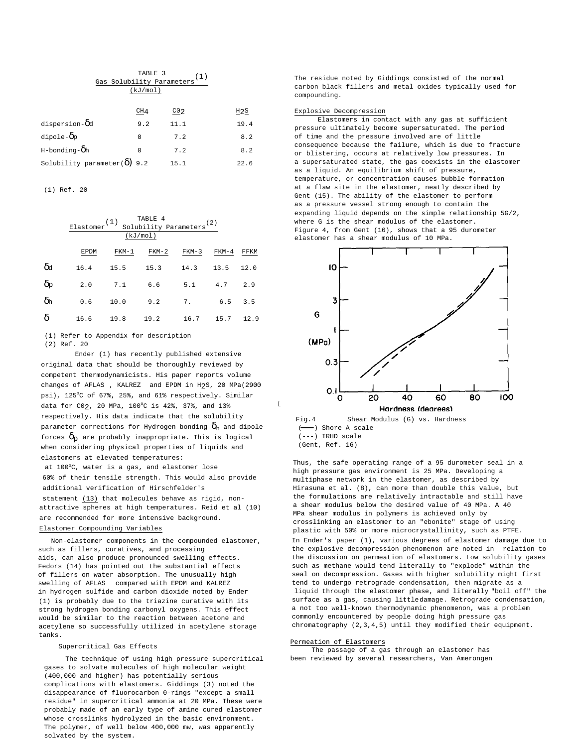| (kJ/mol)                             |                 |                                             |
|--------------------------------------|-----------------|---------------------------------------------|
|                                      |                 |                                             |
| CH <sub>4</sub>                      | CO <sub>2</sub> | $_{\rm H2S}$                                |
| 9.2                                  | 11.1            | 19.4                                        |
| $\Omega$                             | 7.2             | 8.2                                         |
| $\Omega$                             | 7.2             | 8.2                                         |
| Solubility parameter( $\delta$ ) 9.2 | 15.1            | 22.6                                        |
|                                      |                 | TABLE 3<br>(1)<br>Gas Solubility Parameters |

(1) Ref. 20

|                  | TABLE 4<br>(1)<br>Solubility Parameters <sup>(2)</sup><br>Elastomer<br>(kJ/mol) |         |         |         |         |      |
|------------------|---------------------------------------------------------------------------------|---------|---------|---------|---------|------|
|                  | EPDM                                                                            | $FKM-1$ | $FKM-2$ | $FKM-3$ | $FKM-4$ | FFKM |
| $\delta$ d       | 16.4                                                                            | 15.5    | 15.3    | 14.3    | 13.5    | 12.0 |
| $\delta_{\rm P}$ | 2.0                                                                             | 7.1     | 6.6     | 5.1     | 4.7     | 2.9  |
| $\delta$ h       | 0.6                                                                             | 10.0    | 9.2     | 7.      | 6.5     | 3.5  |
| δ                | 16.6                                                                            | 19.8    | 19.2    | 16.7    | 15.7    | 12.9 |
|                  |                                                                                 |         |         |         |         |      |

(1) Refer to Appendix for description (2) Ref. 20

Ender (1) has recently published extensive original data that should be thoroughly reviewed by competent thermodynamicists. His paper reports volume changes of AFLAS<sup>®</sup>, KALREZ<sup>®</sup> and EPDM in H<sub>2</sub>S, 20 MPa(2900 psi), 125°C of 67%, 25%, and 61% respectively. Similar data for  $CO_2$ , 20 MPa,  $100^{\circ}$ C is  $42\%$ ,  $37\%$ , and  $13\%$ respectively. His data indicate that the solubility parameter corrections for Hydrogen bonding  $\delta_{h}$  and dipole forces  $\delta_p$  are probably inappropriate. This is logical when considering physical properties of liquids and elastomers at elevated temperatures:

at 100°C, water is a gas, and elastomer lose 60% of their tensile strength. This would also provide additional verification of Hirschfelder's

statement (13) that molecules behave as rigid, nonattractive spheres at high temperatures. Reid et al (10) are recommended for more intensive background.

# Elastomer Compounding Variables

Non-elastomer components in the compounded elastomer, such as fillers, curatives, and processing aids, can also produce pronounced swelling effects. Fedors (14) has pointed out the substantial effects of fillers on water absorption. The unusually high swelling of AFLAS® compared with EPDM and KALREZ® in hydrogen sulfide and carbon dioxide noted by Ender (1) is probably due to the triazine curative with its strong hydrogen bonding carbonyl oxygens. This effect would be similar to the reaction between acetone and acetylene so successfully utilized in acetylene storage tanks.

## Supercritical Gas Effects

The technique of using high pressure supercritical gases to solvate molecules of high molecular weight (400,000 and higher) has potentially serious complications with elastomers. Giddings (3) noted the disappearance of fluorocarbon 0-rings "except a small residue" in supercritical ammonia at 20 MPa. These were probably made of an early type of amine cured elastomer whose crosslinks hydrolyzed in the basic environment. The polymer, of well below 400,000 mw, was apparently solvated by the system.

The residue noted by Giddings consisted of the normal carbon black fillers and metal oxides typically used for compounding.

#### Explosive Decompression

Elastomers in contact with any gas at sufficient pressure ultimately become supersaturated. The period of time and the pressure involved are of little consequence because the failure, which is due to fracture or blistering, occurs at relatively low pressures. In a supersaturated state, the gas coexists in the elastomer as a liquid. An equilibrium shift of pressure, temperature, or concentration causes bubble formation at a flaw site in the elastomer, neatly described by Gent (15). The ability of the elastomer to perform as a pressure vessel strong enough to contain the expanding liquid depends on the simple relationship 5G/2, where G is the shear modulus of the elastomer. Figure 4, from Gent (16), shows that a 95 durometer elastomer has a shear modulus of 10 MPa.



Fig.4 Shear Modulus (G) vs. Hardness -) Shore A scale (---) IRHD scale (Gent, Ref. 16)

Thus, the safe operating range of a 95 durometer seal in a high pressure gas environment is 25 MPa. Developing a multiphase network in the elastomer, as described by Hirasuna et al. (8), can more than double this value, but the formulations are relatively intractable and still have a shear modulus below the desired value of 40 MPa. A 40 MPa shear modulus in polymers is achieved only by crosslinking an elastomer to an "ebonite" stage of using plastic with 50% or more microcrystallinity, such as PTFE. In Ender's paper (1), various degrees of elastomer damage due to the explosive decompression phenomenon are noted in relation to the discussion on permeation of elastomers. Low solubility gases such as methane would tend literally to "explode" within the seal on decompression. Gases with higher solubility might first tend to undergo retrograde condensation, then migrate as a liquid through the elastomer phase, and literally "boil off" the surface as a gas, causing little damage. Retrograde condensation, a not too well-known thermodynamic phenomenon, was a problem commonly encountered by people doing high pressure gas chromatography (2,3,4,5) until they modified their equipment.

## Permeation of Elastomers

 $\mathbf{L}$ 

The passage of a gas through an elastomer has been reviewed by several researchers, Van Amerongen